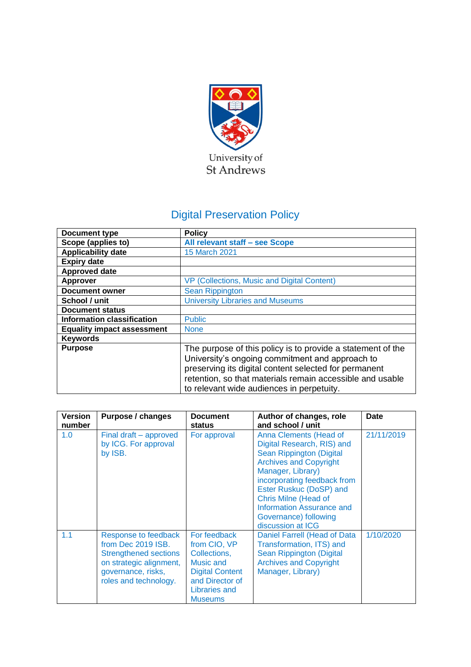

# Digital Preservation Policy

| Document type                     | <b>Policy</b>                                                                                                                                                                                                                                                                     |  |
|-----------------------------------|-----------------------------------------------------------------------------------------------------------------------------------------------------------------------------------------------------------------------------------------------------------------------------------|--|
| Scope (applies to)                | All relevant staff - see Scope                                                                                                                                                                                                                                                    |  |
| <b>Applicability date</b>         | <b>15 March 2021</b>                                                                                                                                                                                                                                                              |  |
| <b>Expiry date</b>                |                                                                                                                                                                                                                                                                                   |  |
| <b>Approved date</b>              |                                                                                                                                                                                                                                                                                   |  |
| <b>Approver</b>                   | VP (Collections, Music and Digital Content)                                                                                                                                                                                                                                       |  |
| <b>Document owner</b>             | <b>Sean Rippington</b>                                                                                                                                                                                                                                                            |  |
| School / unit                     | <b>University Libraries and Museums</b>                                                                                                                                                                                                                                           |  |
| <b>Document status</b>            |                                                                                                                                                                                                                                                                                   |  |
| <b>Information classification</b> | <b>Public</b>                                                                                                                                                                                                                                                                     |  |
| <b>Equality impact assessment</b> | <b>None</b>                                                                                                                                                                                                                                                                       |  |
| <b>Keywords</b>                   |                                                                                                                                                                                                                                                                                   |  |
| <b>Purpose</b>                    | The purpose of this policy is to provide a statement of the<br>University's ongoing commitment and approach to<br>preserving its digital content selected for permanent<br>retention, so that materials remain accessible and usable<br>to relevant wide audiences in perpetuity. |  |

| <b>Version</b><br>number | <b>Purpose / changes</b>                                                                                                                             | <b>Document</b><br>status                                                                                                                        | Author of changes, role<br>and school / unit                                                                                                                                                                                                                                                               | <b>Date</b> |
|--------------------------|------------------------------------------------------------------------------------------------------------------------------------------------------|--------------------------------------------------------------------------------------------------------------------------------------------------|------------------------------------------------------------------------------------------------------------------------------------------------------------------------------------------------------------------------------------------------------------------------------------------------------------|-------------|
| 1.0                      | Final draft – approved<br>by ICG. For approval<br>by ISB.                                                                                            | For approval                                                                                                                                     | Anna Clements (Head of<br>Digital Research, RIS) and<br>Sean Rippington (Digital<br><b>Archives and Copyright</b><br>Manager, Library)<br>incorporating feedback from<br>Ester Ruskuc (DoSP) and<br><b>Chris Milne (Head of</b><br>Information Assurance and<br>Governance) following<br>discussion at ICG | 21/11/2019  |
| 1.1                      | Response to feedback<br>from Dec 2019 ISB.<br><b>Strengthened sections</b><br>on strategic alignment,<br>governance, risks,<br>roles and technology. | For feedback<br>from CIO, VP<br>Collections,<br>Music and<br><b>Digital Content</b><br>and Director of<br><b>Libraries and</b><br><b>Museums</b> | Daniel Farrell (Head of Data<br>Transformation, ITS) and<br>Sean Rippington (Digital<br><b>Archives and Copyright</b><br>Manager, Library)                                                                                                                                                                 | 1/10/2020   |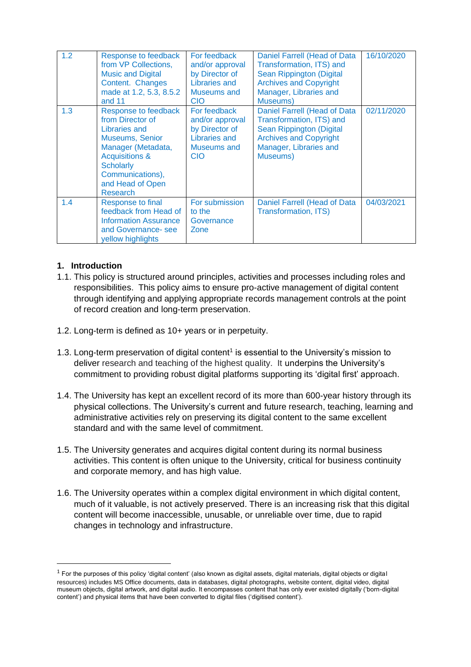| 1.2 | Response to feedback<br>from VP Collections,<br><b>Music and Digital</b><br>Content. Changes<br>made at 1.2, 5.3, 8.5.2<br>and 11                                                                                     | For feedback<br>and/or approval<br>by Director of<br>Libraries and<br>Museums and<br><b>CIO</b> | Daniel Farrell (Head of Data<br>Transformation, ITS) and<br>Sean Rippington (Digital<br><b>Archives and Copyright</b><br>Manager, Libraries and<br>Museums) | 16/10/2020 |
|-----|-----------------------------------------------------------------------------------------------------------------------------------------------------------------------------------------------------------------------|-------------------------------------------------------------------------------------------------|-------------------------------------------------------------------------------------------------------------------------------------------------------------|------------|
| 1.3 | Response to feedback<br>from Director of<br><b>Libraries and</b><br><b>Museums, Senior</b><br>Manager (Metadata,<br><b>Acquisitions &amp;</b><br><b>Scholarly</b><br>Communications),<br>and Head of Open<br>Research | For feedback<br>and/or approval<br>by Director of<br>Libraries and<br>Museums and<br><b>CIO</b> | Daniel Farrell (Head of Data<br>Transformation, ITS) and<br>Sean Rippington (Digital<br><b>Archives and Copyright</b><br>Manager, Libraries and<br>Museums) | 02/11/2020 |
| 1.4 | <b>Response to final</b><br>feedback from Head of<br><b>Information Assurance</b><br>and Governance-see<br>yellow highlights                                                                                          | For submission<br>to the<br>Governance<br>Zone                                                  | Daniel Farrell (Head of Data<br><b>Transformation, ITS)</b>                                                                                                 | 04/03/2021 |

## **1. Introduction**

- 1.1. This policy is structured around principles, activities and processes including roles and responsibilities. This policy aims to ensure pro-active management of digital content through identifying and applying appropriate records management controls at the point of record creation and long-term preservation.
- 1.2. Long-term is defined as 10+ years or in perpetuity.
- 1.3. Long-term preservation of digital content<sup>1</sup> is essential to the University's mission to deliver research and teaching of the highest quality. It underpins the University's commitment to providing robust digital platforms supporting its 'digital first' approach.
- 1.4. The University has kept an excellent record of its more than 600-year history through its physical collections. The University's current and future research, teaching, learning and administrative activities rely on preserving its digital content to the same excellent standard and with the same level of commitment.
- 1.5. The University generates and acquires digital content during its normal business activities. This content is often unique to the University, critical for business continuity and corporate memory, and has high value.
- 1.6. The University operates within a complex digital environment in which digital content, much of it valuable, is not actively preserved. There is an increasing risk that this digital content will become inaccessible, unusable, or unreliable over time, due to rapid changes in technology and infrastructure.

 $1$  For the purposes of this policy 'digital content' (also known as digital assets, digital materials, digital objects or digital resources) includes MS Office documents, data in databases, digital photographs, website content, digital video, digital museum objects, digital artwork, and digital audio. It encompasses content that has only ever existed digitally ('born-digital content') and physical items that have been converted to digital files ('digitised content').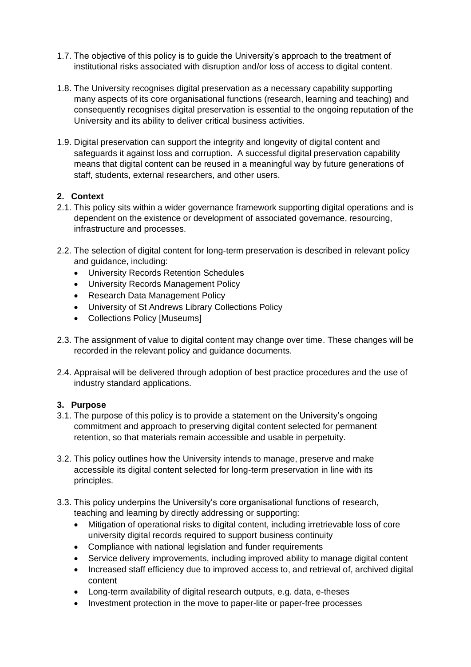- 1.7. The objective of this policy is to guide the University's approach to the treatment of institutional risks associated with disruption and/or loss of access to digital content.
- 1.8. The University recognises digital preservation as a necessary capability supporting many aspects of its core organisational functions (research, learning and teaching) and consequently recognises digital preservation is essential to the ongoing reputation of the University and its ability to deliver critical business activities.
- 1.9. Digital preservation can support the integrity and longevity of digital content and safeguards it against loss and corruption. A successful digital preservation capability means that digital content can be reused in a meaningful way by future generations of staff, students, external researchers, and other users.

### **2. Context**

- 2.1. This policy sits within a wider governance framework supporting digital operations and is dependent on the existence or development of associated governance, resourcing, infrastructure and processes.
- 2.2. The selection of digital content for long-term preservation is described in relevant policy and guidance, including:
	- University Records Retention Schedules
	- University Records Management Policy
	- Research Data Management Policy
	- University of St Andrews Library Collections Policy
	- Collections Policy [Museums]
- 2.3. The assignment of value to digital content may change over time. These changes will be recorded in the relevant policy and guidance documents.
- 2.4. Appraisal will be delivered through adoption of best practice procedures and the use of industry standard applications.

#### **3. Purpose**

- 3.1. The purpose of this policy is to provide a statement on the University's ongoing commitment and approach to preserving digital content selected for permanent retention, so that materials remain accessible and usable in perpetuity.
- 3.2. This policy outlines how the University intends to manage, preserve and make accessible its digital content selected for long-term preservation in line with its principles.
- 3.3. This policy underpins the University's core organisational functions of research, teaching and learning by directly addressing or supporting:
	- Mitigation of operational risks to digital content, including irretrievable loss of core university digital records required to support business continuity
	- Compliance with national legislation and funder requirements
	- Service delivery improvements, including improved ability to manage digital content
	- Increased staff efficiency due to improved access to, and retrieval of, archived digital content
	- Long-term availability of digital research outputs, e.g. data, e-theses
	- Investment protection in the move to paper-lite or paper-free processes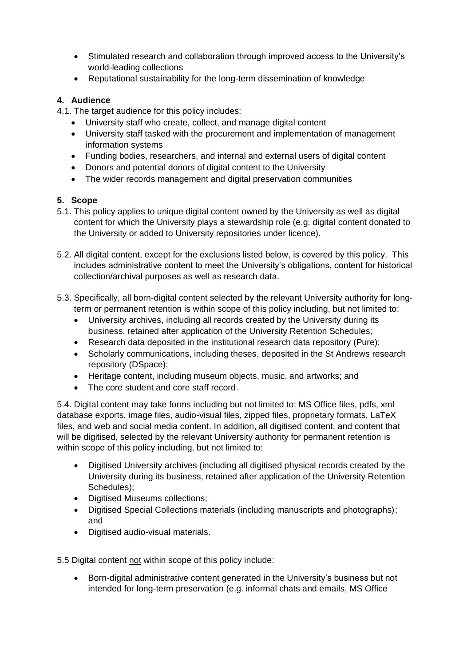- Stimulated research and collaboration through improved access to the University's world-leading collections
- Reputational sustainability for the long-term dissemination of knowledge

## **4. Audience**

4.1. The target audience for this policy includes:

- University staff who create, collect, and manage digital content
- University staff tasked with the procurement and implementation of management information systems
- Funding bodies, researchers, and internal and external users of digital content
- Donors and potential donors of digital content to the University
- The wider records management and digital preservation communities

## **5. Scope**

- 5.1. This policy applies to unique digital content owned by the University as well as digital content for which the University plays a stewardship role (e.g. digital content donated to the University or added to University repositories under licence).
- 5.2. All digital content, except for the exclusions listed below, is covered by this policy. This includes administrative content to meet the University's obligations, content for historical collection/archival purposes as well as research data.
- 5.3. Specifically, all born-digital content selected by the relevant University authority for longterm or permanent retention is within scope of this policy including, but not limited to:
	- University archives, including all records created by the University during its business, retained after application of the University Retention Schedules;
	- Research data deposited in the institutional research data repository (Pure);
	- Scholarly communications, including theses, deposited in the St Andrews research repository (DSpace);
	- Heritage content, including museum objects, music, and artworks; and
	- The core student and core staff record.

5.4. Digital content may take forms including but not limited to: MS Office files, pdfs, xml database exports, image files, audio-visual files, zipped files, proprietary formats, LaTeX files, and web and social media content. In addition, all digitised content, and content that will be digitised, selected by the relevant University authority for permanent retention is within scope of this policy including, but not limited to:

- Digitised University archives (including all digitised physical records created by the University during its business, retained after application of the University Retention Schedules);
- Digitised Museums collections:
- Digitised Special Collections materials (including manuscripts and photographs); and
- Digitised audio-visual materials.

5.5 Digital content not within scope of this policy include:

• Born-digital administrative content generated in the University's business but not intended for long-term preservation (e.g. informal chats and emails, MS Office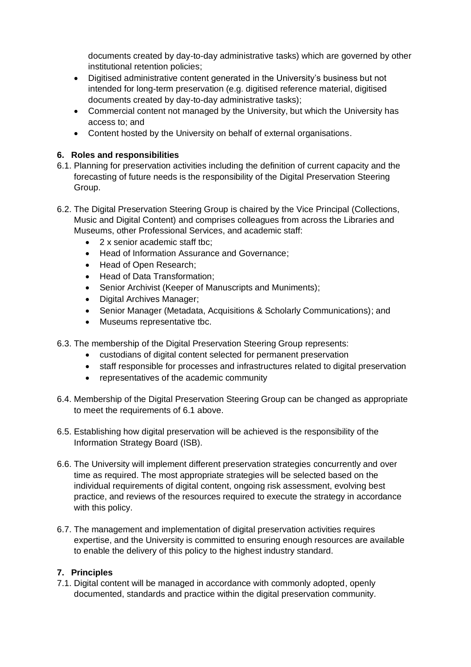documents created by day-to-day administrative tasks) which are governed by other institutional retention policies;

- Digitised administrative content generated in the University's business but not intended for long-term preservation (e.g. digitised reference material, digitised documents created by day-to-day administrative tasks);
- Commercial content not managed by the University, but which the University has access to; and
- Content hosted by the University on behalf of external organisations.

## **6. Roles and responsibilities**

- 6.1. Planning for preservation activities including the definition of current capacity and the forecasting of future needs is the responsibility of the Digital Preservation Steering Group.
- 6.2. The Digital Preservation Steering Group is chaired by the Vice Principal (Collections, Music and Digital Content) and comprises colleagues from across the Libraries and Museums, other Professional Services, and academic staff:
	- 2 x senior academic staff tbc;
	- Head of Information Assurance and Governance;
	- Head of Open Research;
	- Head of Data Transformation;
	- Senior Archivist (Keeper of Manuscripts and Muniments);
	- Digital Archives Manager;
	- Senior Manager (Metadata, Acquisitions & Scholarly Communications); and
	- Museums representative tbc.
- 6.3. The membership of the Digital Preservation Steering Group represents:
	- custodians of digital content selected for permanent preservation
	- staff responsible for processes and infrastructures related to digital preservation
	- representatives of the academic community
- 6.4. Membership of the Digital Preservation Steering Group can be changed as appropriate to meet the requirements of 6.1 above.
- 6.5. Establishing how digital preservation will be achieved is the responsibility of the Information Strategy Board (ISB).
- 6.6. The University will implement different preservation strategies concurrently and over time as required. The most appropriate strategies will be selected based on the individual requirements of digital content, ongoing risk assessment, evolving best practice, and reviews of the resources required to execute the strategy in accordance with this policy.
- 6.7. The management and implementation of digital preservation activities requires expertise, and the University is committed to ensuring enough resources are available to enable the delivery of this policy to the highest industry standard.

### **7. Principles**

7.1. Digital content will be managed in accordance with commonly adopted, openly documented, standards and practice within the digital preservation community.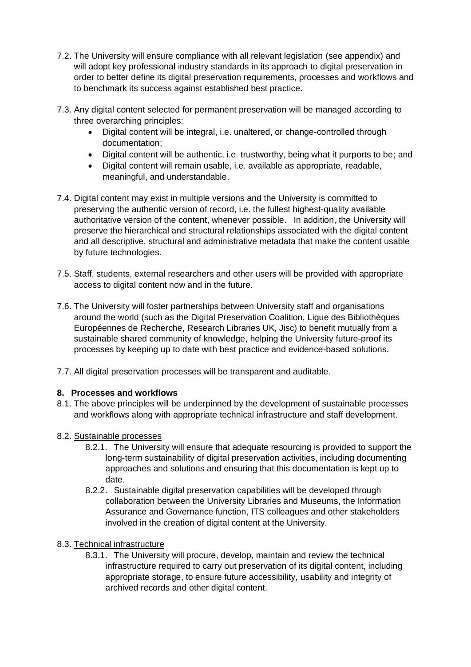- 7.2. The University will ensure compliance with all relevant legislation (see appendix) and will adopt key professional industry standards in its approach to digital preservation in order to better define its digital preservation requirements, processes and workflows and to benchmark its success against established best practice.
- 7.3. Any digital content selected for permanent preservation will be managed according to three overarching principles:
	- Digital content will be integral, i.e. unaltered, or change-controlled through documentation;
	- Digital content will be authentic, i.e. trustworthy, being what it purports to be; and
	- Digital content will remain usable, i.e. available as appropriate, readable, meaningful, and understandable.
- 7.4. Digital content may exist in multiple versions and the University is committed to preserving the authentic version of record, i.e. the fullest highest-quality available authoritative version of the content, whenever possible. In addition, the University will preserve the hierarchical and structural relationships associated with the digital content and all descriptive, structural and administrative metadata that make the content usable by future technologies.
- 7.5. Staff, students, external researchers and other users will be provided with appropriate access to digital content now and in the future.
- 7.6. The University will foster partnerships between University staff and organisations around the world (such as the Digital Preservation Coalition, Ligue des Bibliothèques Européennes de Recherche, Research Libraries UK, Jisc) to benefit mutually from a sustainable shared community of knowledge, helping the University future-proof its processes by keeping up to date with best practice and evidence-based solutions.
- 7.7. All digital preservation processes will be transparent and auditable.

## **8. Processes and workflows**

- 8.1. The above principles will be underpinned by the development of sustainable processes and workflows along with appropriate technical infrastructure and staff development.
- 8.2. Sustainable processes
	- 8.2.1. The University will ensure that adequate resourcing is provided to support the long-term sustainability of digital preservation activities, including documenting approaches and solutions and ensuring that this documentation is kept up to date.
	- 8.2.2. Sustainable digital preservation capabilities will be developed through collaboration between the University Libraries and Museums, the Information Assurance and Governance function, ITS colleagues and other stakeholders involved in the creation of digital content at the University.

## 8.3. Technical infrastructure

8.3.1. The University will procure, develop, maintain and review the technical infrastructure required to carry out preservation of its digital content, including appropriate storage, to ensure future accessibility, usability and integrity of archived records and other digital content.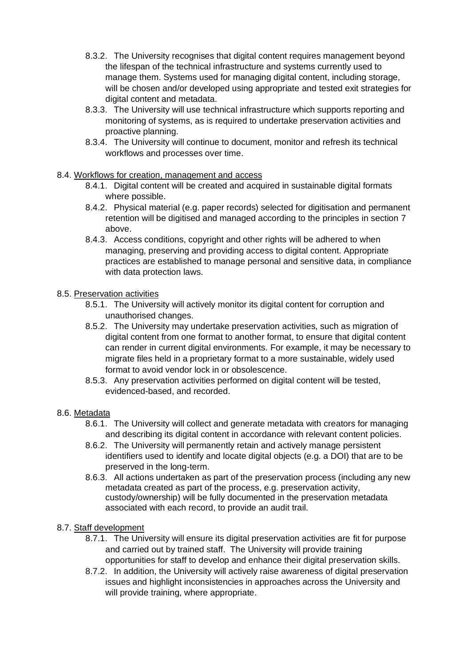- 8.3.2. The University recognises that digital content requires management beyond the lifespan of the technical infrastructure and systems currently used to manage them. Systems used for managing digital content, including storage, will be chosen and/or developed using appropriate and tested exit strategies for digital content and metadata.
- 8.3.3. The University will use technical infrastructure which supports reporting and monitoring of systems, as is required to undertake preservation activities and proactive planning.
- 8.3.4. The University will continue to document, monitor and refresh its technical workflows and processes over time.

### 8.4. Workflows for creation, management and access

- 8.4.1. Digital content will be created and acquired in sustainable digital formats where possible.
- 8.4.2. Physical material (e.g. paper records) selected for digitisation and permanent retention will be digitised and managed according to the principles in section 7 above.
- 8.4.3. Access conditions, copyright and other rights will be adhered to when managing, preserving and providing access to digital content. Appropriate practices are established to manage personal and sensitive data, in compliance with data protection laws.

## 8.5. Preservation activities

- 8.5.1. The University will actively monitor its digital content for corruption and unauthorised changes.
- 8.5.2. The University may undertake preservation activities, such as migration of digital content from one format to another format, to ensure that digital content can render in current digital environments. For example, it may be necessary to migrate files held in a proprietary format to a more sustainable, widely used format to avoid vendor lock in or obsolescence.
- 8.5.3. Any preservation activities performed on digital content will be tested, evidenced-based, and recorded.

### 8.6. Metadata

- 8.6.1. The University will collect and generate metadata with creators for managing and describing its digital content in accordance with relevant content policies.
- 8.6.2. The University will permanently retain and actively manage persistent identifiers used to identify and locate digital objects (e.g. a DOI) that are to be preserved in the long-term.
- 8.6.3. All actions undertaken as part of the preservation process (including any new metadata created as part of the process, e.g. preservation activity, custody/ownership) will be fully documented in the preservation metadata associated with each record, to provide an audit trail.

### 8.7. Staff development

- 8.7.1. The University will ensure its digital preservation activities are fit for purpose and carried out by trained staff. The University will provide training opportunities for staff to develop and enhance their digital preservation skills.
- 8.7.2. In addition, the University will actively raise awareness of digital preservation issues and highlight inconsistencies in approaches across the University and will provide training, where appropriate.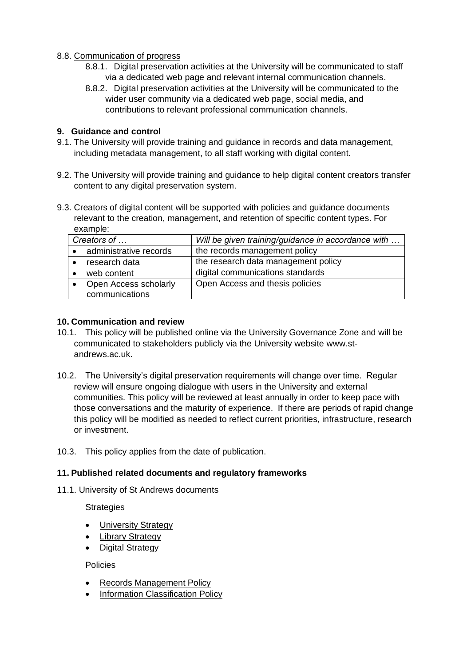## 8.8. Communication of progress

- 8.8.1. Digital preservation activities at the University will be communicated to staff via a dedicated web page and relevant internal communication channels.
- 8.8.2. Digital preservation activities at the University will be communicated to the wider user community via a dedicated web page, social media, and contributions to relevant professional communication channels.

## **9. Guidance and control**

- 9.1. The University will provide training and guidance in records and data management, including metadata management, to all staff working with digital content.
- 9.2. The University will provide training and guidance to help digital content creators transfer content to any digital preservation system.
- 9.3. Creators of digital content will be supported with policies and guidance documents relevant to the creation, management, and retention of specific content types. For example:

| Creators of            | Will be given training/guidance in accordance with |  |
|------------------------|----------------------------------------------------|--|
| administrative records | the records management policy                      |  |
| research data          | the research data management policy                |  |
| web content            | digital communications standards                   |  |
| Open Access scholarly  | Open Access and thesis policies                    |  |
| communications         |                                                    |  |

### **10. Communication and review**

- 10.1. This policy will be published online via the University Governance Zone and will be communicated to stakeholders publicly via the University website [www.st](http://www.st-andrews.ac.uk/)[andrews.ac.uk.](http://www.st-andrews.ac.uk/)
- 10.2. The University's digital preservation requirements will change over time. Regular review will ensure ongoing dialogue with users in the University and external communities. This policy will be reviewed at least annually in order to keep pace with those conversations and the maturity of experience. If there are periods of rapid change this policy will be modified as needed to reflect current priorities, infrastructure, research or investment.
- 10.3. This policy applies from the date of publication.

### **11. Published related documents and regulatory frameworks**

11.1. University of St Andrews documents

**Strategies** 

- [University Strategy](https://www.st-andrews.ac.uk/about/governance/university-strategy)
- [Library Strategy](https://www.st-andrews.ac.uk/policy/library-and-museum-services/internal/transforming-the-library-vision-and-strategy.pdf)
- [Digital Strategy](https://www.st-andrews.ac.uk/assets/university/about/documents/governance/restricted/university-strategy/digital-strategy.pdf)

Policies

- [Records Management Policy](https://www.st-andrews.ac.uk/policy/information-governance-and-management-records-management/records-management-policy.pdf)
- [Information Classification Policy](https://www.st-andrews.ac.uk/itsupport/security/classification/)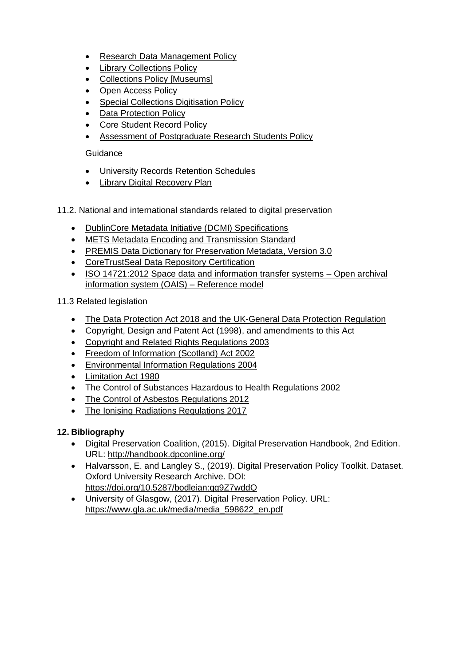- [Research Data Management Policy](https://www.st-andrews.ac.uk/policy/research-open-research/research-data-management-policy.pdf)
- [Library Collections Policy](https://www.st-andrews.ac.uk/policy/library-and-museum-services/university-of-st-andrews-library-collections-policy.pdf)
- [Collections Policy \[Museums\]](https://www.st-andrews.ac.uk/policy/library-and-museum-services/internal/collections-development-policy.pdf)
- Open [Access Policy](https://www.st-andrews.ac.uk/policy/research-open-research/open-access-policy.pdf)
- [Special Collections Digitisation Policy](https://www.st-andrews.ac.uk/policy/library-and-museum-services/internal/university-of-st-andrews-library-special-collections-digitisation-policy.pdf)
- [Data Protection Policy](https://www.st-andrews.ac.uk/dataprot/)
- Core Student Record Policy
- [Assessment of Postgraduate Research Students Policy](https://www.st-andrews.ac.uk/policy/academic-policies-assessment-examination-and-award-assessment-of-pgrs/pgr-assessment.pdf)

## **Guidance**

- University Records Retention Schedules
- **[Library Digital Recovery Plan](https://universityofstandrews907.sharepoint.com/sites/enterpriseapplicationsportal/Shared%20Documents/Library/General/Digital%20Recovery.pdf)**
- 11.2. National and international standards related to digital preservation
	- [DublinCore Metadata Initiative \(DCMI\) Specifications](https://www.dublincore.org/specifications/dublin-core/dces/)
	- [METS Metadata Encoding and Transmission Standard](http://www.loc.gov/standards/mets/)
	- [PREMIS Data Dictionary for Preservation Metadata, Version 3.0](http://www.loc.gov/standards/premis/v3/)
	- [CoreTrustSeal Data Repository Certification](https://www.coretrustseal.org/)
	- [ISO 14721:2012 Space data and information transfer systems –](https://www.iso.org/standard/57284.html) Open archival [information system \(OAIS\) –](https://www.iso.org/standard/57284.html) Reference model

11.3 Related legislation

- [The Data Protection Act 2018](http://www.legislation.gov.uk/ukpga/2018/12/contents/enacted) and [the UK-General Data Protection Regulation](https://eur-lex.europa.eu/legal-content/EN/TXT/HTML/?uri=CELEX:32016R0679&from=EN)
- [Copyright, Design and Patent Act \(1998\),](http://www.legislation.gov.uk/ukpga/1988/48/contents) and amendments to this Act
- [Copyright and Related Rights Regulations 2003](https://eur-lex.europa.eu/legal-content/EN/TXT/HTML/?uri=CELEX:32001L0029&from=EN)
- [Freedom of Information \(Scotland\) Act 2002](http://www.legislation.gov.uk/asp/2002/13/contents)
- [Environmental Information Regulations 2004](http://www.legislation.gov.uk/uksi/2004/3391/contents/made)
- [Limitation Act 1980](https://www.legislation.gov.uk/ukpga/1980/58/contents)
- [The Control of Substances Hazardous to Health Regulations 2002](https://www.legislation.gov.uk/uksi/2002/2677/contents/made)
- [The Control of Asbestos Regulations 2012](https://www.legislation.gov.uk/uksi/2012/632/contents/made)
- [The Ionising Radiations Regulations 2017](https://www.legislation.gov.uk/uksi/2017/1075/contents/made)

## **12. Bibliography**

- Digital Preservation Coalition, (2015). Digital Preservation Handbook, 2nd Edition. URL: <http://handbook.dpconline.org/>
- Halvarsson, E. and Langley S., (2019). Digital Preservation Policy Toolkit. Dataset. Oxford University Research Archive. DOI: <https://doi.org/10.5287/bodleian:qq9Z7wddQ>
- University of Glasgow, (2017). Digital Preservation Policy. URL: [https://www.gla.ac.uk/media/media\\_598622\\_en.pdf](https://www.gla.ac.uk/media/media_598622_en.pdf)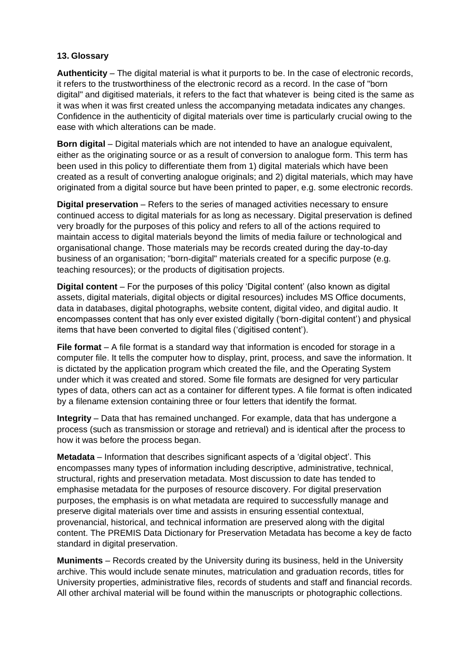## **13. Glossary**

**Authenticity** – The digital material is what it purports to be. In the case of electronic records, it refers to the trustworthiness of the electronic record as a record. In the case of "born digital" and digitised materials, it refers to the fact that whatever is being cited is the same as it was when it was first created unless the accompanying metadata indicates any changes. Confidence in the authenticity of digital materials over time is particularly crucial owing to the ease with which alterations can be made.

**Born digital** – Digital materials which are not intended to have an analogue equivalent, either as the originating source or as a result of conversion to analogue form. This term has been used in this policy to differentiate them from 1) digital materials which have been created as a result of converting analogue originals; and 2) digital materials, which may have originated from a digital source but have been printed to paper, e.g. some electronic records.

**Digital preservation** – Refers to the series of managed activities necessary to ensure continued access to digital materials for as long as necessary. Digital preservation is defined very broadly for the purposes of this policy and refers to all of the actions required to maintain access to digital materials beyond the limits of media failure or technological and organisational change. Those materials may be records created during the day-to-day business of an organisation; "born-digital" materials created for a specific purpose (e.g. teaching resources); or the products of digitisation projects.

**Digital content** – For the purposes of this policy 'Digital content' (also known as digital assets, digital materials, digital objects or digital resources) includes MS Office documents, data in databases, digital photographs, website content, digital video, and digital audio. It encompasses content that has only ever existed digitally ('born-digital content') and physical items that have been converted to digital files ('digitised content').

**File format** – A file format is a standard way that information is encoded for storage in a computer file. It tells the computer how to display, print, process, and save the information. It is dictated by the application program which created the file, and the Operating System under which it was created and stored. Some file formats are designed for very particular types of data, others can act as a container for different types. A file format is often indicated by a filename extension containing three or four letters that identify the format.

**Integrity** – Data that has remained unchanged. For example, data that has undergone a process (such as transmission or storage and retrieval) and is identical after the process to how it was before the process began.

**Metadata** – Information that describes significant aspects of a 'digital object'. This encompasses many types of information including descriptive, administrative, technical, structural, rights and preservation metadata. Most discussion to date has tended to emphasise metadata for the purposes of resource discovery. For digital preservation purposes, the emphasis is on what metadata are required to successfully manage and preserve digital materials over time and assists in ensuring essential contextual, provenancial, historical, and technical information are preserved along with the digital content. The PREMIS Data Dictionary for Preservation Metadata has become a key de facto standard in digital preservation.

**Muniments** – Records created by the University during its business, held in the University archive. This would include senate minutes, matriculation and graduation records, titles for University properties, administrative files, records of students and staff and financial records. All other archival material will be found within the manuscripts or photographic collections.